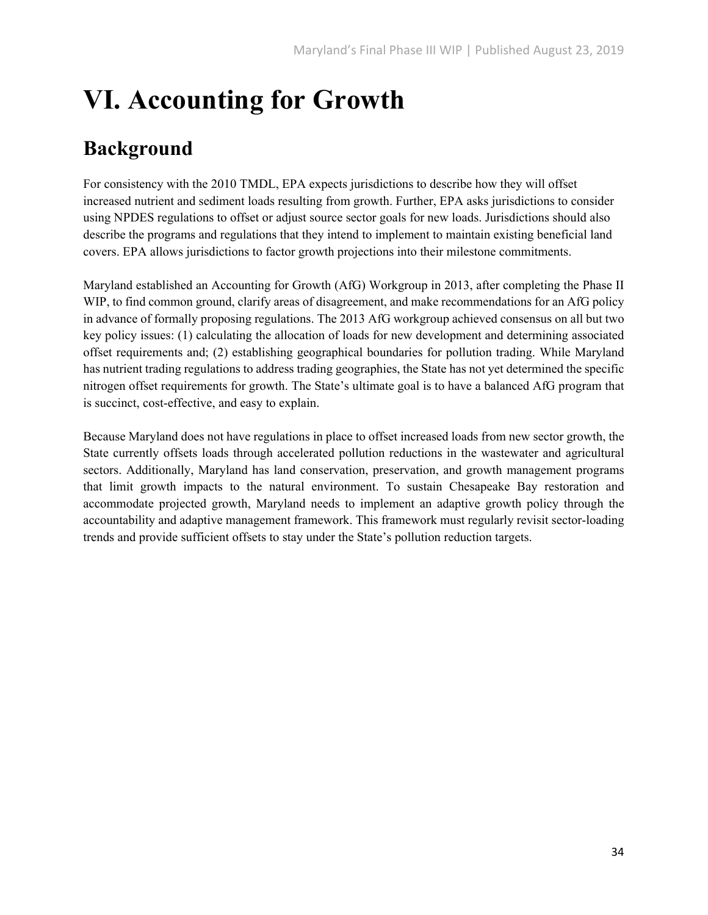# **VI. Accounting for Growth**

# **Background**

For consistency with the 2010 TMDL, EPA expects jurisdictions to describe how they will offset increased nutrient and sediment loads resulting from growth. Further, EPA asks jurisdictions to consider using NPDES regulations to offset or adjust source sector goals for new loads. Jurisdictions should also describe the programs and regulations that they intend to implement to maintain existing beneficial land covers. EPA allows jurisdictions to factor growth projections into their milestone commitments.

Maryland established an Accounting for Growth (AfG) Workgroup in 2013, after completing the Phase II WIP, to find common ground, clarify areas of disagreement, and make recommendations for an AfG policy in advance of formally proposing regulations. The 2013 AfG workgroup achieved consensus on all but two key policy issues: (1) calculating the allocation of loads for new development and determining associated offset requirements and; (2) establishing geographical boundaries for pollution trading. While Maryland has nutrient trading regulations to address trading geographies, the State has not yet determined the specific nitrogen offset requirements for growth. The State's ultimate goal is to have a balanced AfG program that is succinct, cost-effective, and easy to explain.

Because Maryland does not have regulations in place to offset increased loads from new sector growth, the State currently offsets loads through accelerated pollution reductions in the wastewater and agricultural sectors. Additionally, Maryland has land conservation, preservation, and growth management programs that limit growth impacts to the natural environment. To sustain Chesapeake Bay restoration and accommodate projected growth, Maryland needs to implement an adaptive growth policy through the accountability and adaptive management framework. This framework must regularly revisit sector-loading trends and provide sufficient offsets to stay under the State's pollution reduction targets.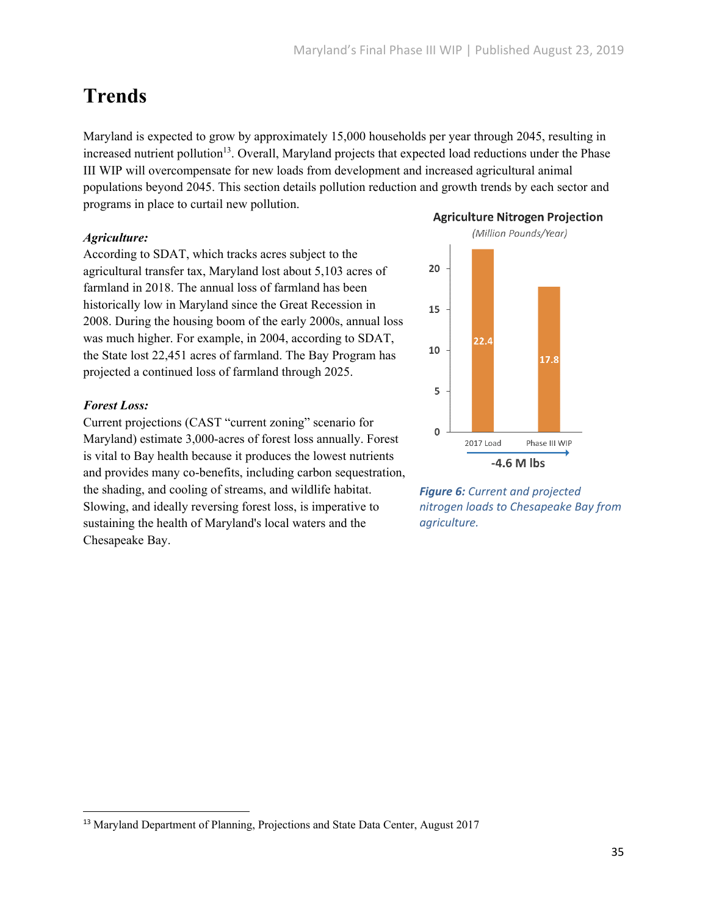# **Trends**

Maryland is expected to grow by approximately 15,000 households per year through 2045, resulting in increased nutrient pollution<sup>13</sup>. Overall, Maryland projects that expected load reductions under the Phase III WIP will overcompensate for new loads from development and increased agricultural animal populations beyond 2045. This section details pollution reduction and growth trends by each sector and programs in place to curtail new pollution. **Agriculture Nitrogen Projection** 

### *Agriculture:*

According to SDAT, which tracks acres subject to the agricultural transfer tax, Maryland lost about 5,103 acres of farmland in 2018. The annual loss of farmland has been historically low in Maryland since the Great Recession in 2008. During the housing boom of the early 2000s, annual loss was much higher. For example, in 2004, according to SDAT, the State lost 22,451 acres of farmland. The Bay Program has projected a continued loss of farmland through 2025.

### *Forest Loss:*

Current projections (CAST "current zoning" scenario for Maryland) estimate 3,000-acres of forest loss annually. Forest is vital to Bay health because it produces the lowest nutrients and provides many co-benefits, including carbon sequestration, the shading, and cooling of streams, and wildlife habitat. Slowing, and ideally reversing forest loss, is imperative to sustaining the health of Maryland's local waters and the Chesapeake Bay.



*Figure 6: Current and projected nitrogen loads to Chesapeake Bay from agriculture.*

<sup>13</sup> Maryland Department of Planning, Projections and State Data Center, August 2017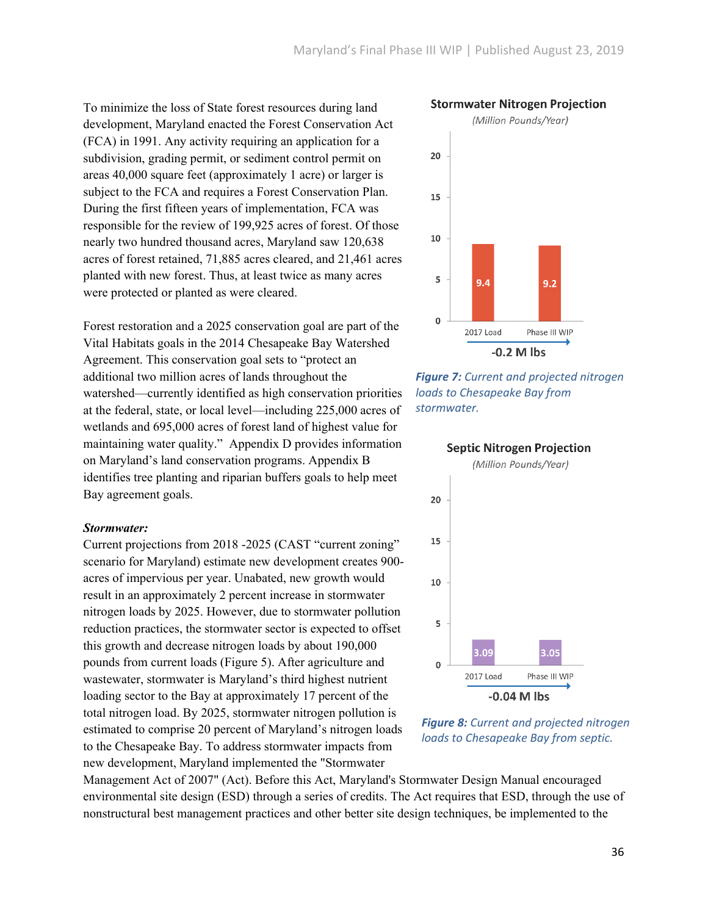To minimize the loss of State forest resources during land development, Maryland enacted the Forest Conservation Act (FCA) in 1991. Any activity requiring an application for a subdivision, grading permit, or sediment control permit on areas 40,000 square feet (approximately 1 acre) or larger is subject to the FCA and requires a Forest Conservation Plan. During the first fifteen years of implementation, FCA was responsible for the review of 199,925 acres of forest. Of those nearly two hundred thousand acres, Maryland saw 120,638 acres of forest retained, 71,885 acres cleared, and 21,461 acres planted with new forest. Thus, at least twice as many acres were protected or planted as were cleared.

Forest restoration and a 2025 conservation goal are part of the Vital Habitats goals in the 2014 Chesapeake Bay Watershed Agreement. This conservation goal sets to "protect an additional two million acres of lands throughout the watershed—currently identified as high conservation priorities at the federal, state, or local level—including 225,000 acres of wetlands and 695,000 acres of forest land of highest value for maintaining water quality." Appendix D provides information on Maryland's land conservation programs. Appendix B identifies tree planting and riparian buffers goals to help meet Bay agreement goals.

#### *Stormwater:*

Current projections from 2018 -2025 (CAST "current zoning" scenario for Maryland) estimate new development creates 900 acres of impervious per year. Unabated, new growth would result in an approximately 2 percent increase in stormwater nitrogen loads by 2025. However, due to stormwater pollution reduction practices, the stormwater sector is expected to offset this growth and decrease nitrogen loads by about 190,000 pounds from current loads (Figure 5). After agriculture and wastewater, stormwater is Maryland's third highest nutrient loading sector to the Bay at approximately 17 percent of the total nitrogen load. By 2025, stormwater nitrogen pollution is estimated to comprise 20 percent of Maryland's nitrogen loads to the Chesapeake Bay. To address stormwater impacts from new development, Maryland implemented the "Stormwater



*Figure 7: Current and projected nitrogen loads to Chesapeake Bay from stormwater.*



*Figure 8: Current and projected nitrogen loads to Chesapeake Bay from septic.*

Management Act of 2007" (Act). Before this Act, Maryland's Stormwater Design Manual encouraged environmental site design (ESD) through a series of credits. The Act requires that ESD, through the use of nonstructural best management practices and other better site design techniques, be implemented to the

36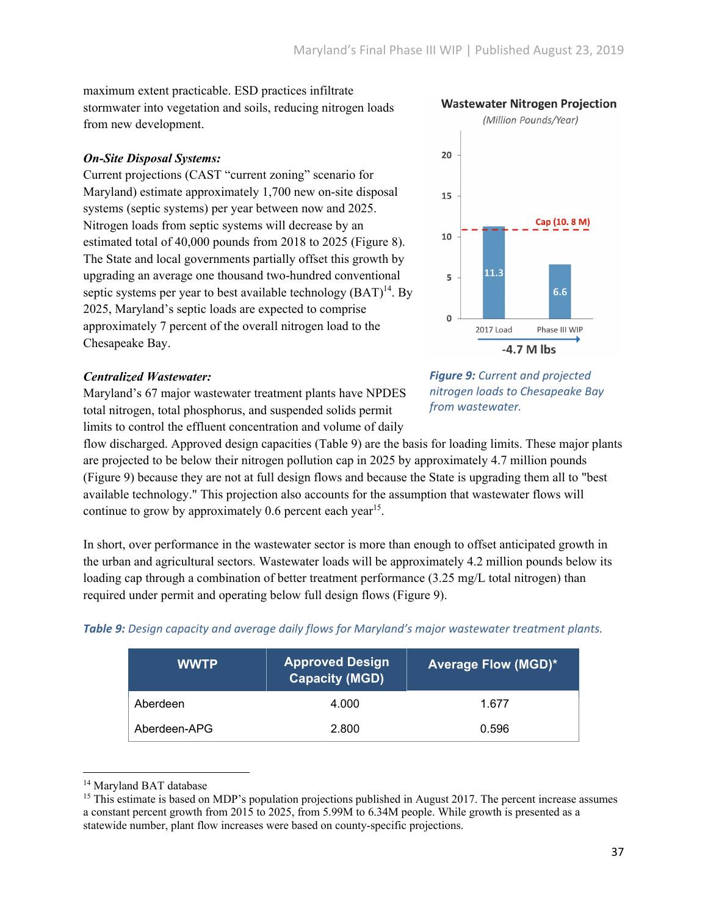maximum extent practicable. ESD practices infiltrate stormwater into vegetation and soils, reducing nitrogen loads from new development.

### *On-Site Disposal Systems:*

Current projections (CAST "current zoning" scenario for Maryland) estimate approximately 1,700 new on-site disposal systems (septic systems) per year between now and 2025. Nitrogen loads from septic systems will decrease by an estimated total of 40,000 pounds from 2018 to 2025 (Figure 8). The State and local governments partially offset this growth by upgrading an average one thousand two-hundred conventional septic systems per year to best available technology  $(BAT)^{14}$ . By 2025, Maryland's septic loads are expected to comprise approximately 7 percent of the overall nitrogen load to the Chesapeake Bay.

### *Centralized Wastewater:*

Maryland's 67 major wastewater treatment plants have NPDES total nitrogen, total phosphorus, and suspended solids permit limits to control the effluent concentration and volume of daily

flow discharged. Approved design capacities (Table 9) are the basis for loading limits. These major plants are projected to be below their nitrogen pollution cap in 2025 by approximately 4.7 million pounds (Figure 9) because they are not at full design flows and because the State is upgrading them all to "best available technology." This projection also accounts for the assumption that wastewater flows will continue to grow by approximately  $0.6$  percent each year<sup>15</sup>.

In short, over performance in the wastewater sector is more than enough to offset anticipated growth in the urban and agricultural sectors. Wastewater loads will be approximately 4.2 million pounds below its loading cap through a combination of better treatment performance (3.25 mg/L total nitrogen) than required under permit and operating below full design flows (Figure 9).

| <b>WWTP</b>  | Approved De <u>sign</u> '<br><b>Capacity (MGD)</b> | <b>Average Flow (MGD)*</b> |
|--------------|----------------------------------------------------|----------------------------|
| Aberdeen     | 4.000                                              | 1.677                      |
| Aberdeen-APG | 2.800                                              | 0.596                      |

*Table 9: Design capacity and average daily flows for Maryland's major wastewater treatment plants.*



*Figure 9: Current and projected nitrogen loads to Chesapeake Bay from wastewater.*

<sup>&</sup>lt;sup>14</sup> Maryland BAT database

<sup>&</sup>lt;sup>15</sup> This estimate is based on MDP's population projections published in August 2017. The percent increase assumes a constant percent growth from 2015 to 2025, from 5.99M to 6.34M people. While growth is presented as a statewide number, plant flow increases were based on county-specific projections.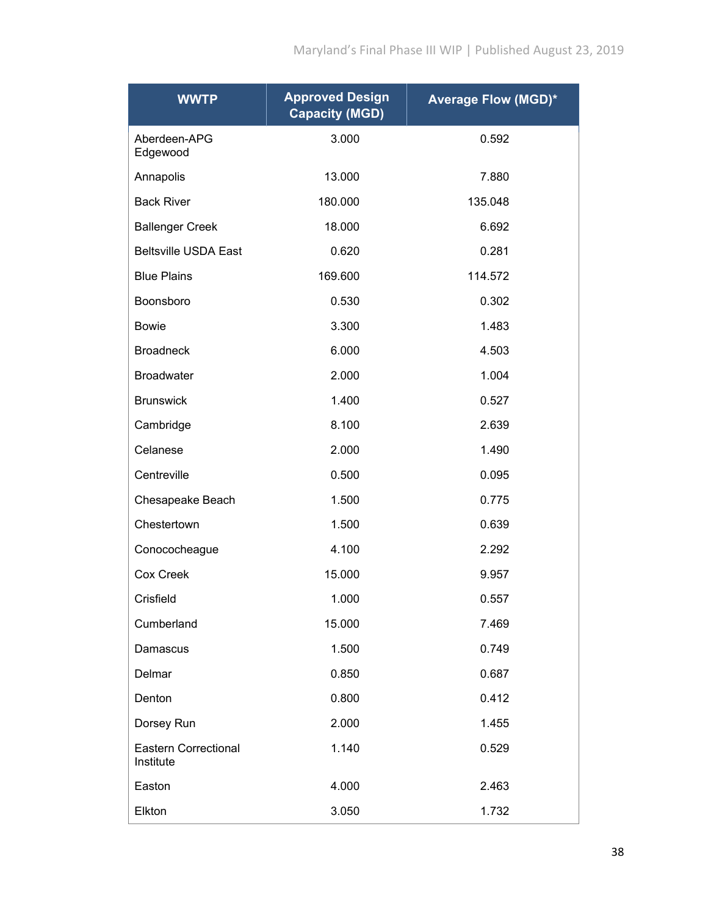| <b>WWTP</b>                              | <b>Approved Design</b><br><b>Capacity (MGD)</b> | <b>Average Flow (MGD)*</b> |
|------------------------------------------|-------------------------------------------------|----------------------------|
| Aberdeen-APG<br>Edgewood                 | 3.000                                           | 0.592                      |
| Annapolis                                | 13.000                                          | 7.880                      |
| <b>Back River</b>                        | 180.000                                         | 135.048                    |
| <b>Ballenger Creek</b>                   | 18.000                                          | 6.692                      |
| <b>Beltsville USDA East</b>              | 0.620                                           | 0.281                      |
| <b>Blue Plains</b>                       | 169.600                                         | 114.572                    |
| Boonsboro                                | 0.530                                           | 0.302                      |
| Bowie                                    | 3.300                                           | 1.483                      |
| <b>Broadneck</b>                         | 6.000                                           | 4.503                      |
| <b>Broadwater</b>                        | 2.000                                           | 1.004                      |
| <b>Brunswick</b>                         | 1.400                                           | 0.527                      |
| Cambridge                                | 8.100                                           | 2.639                      |
| Celanese                                 | 2.000                                           | 1.490                      |
| Centreville                              | 0.500                                           | 0.095                      |
| Chesapeake Beach                         | 1.500                                           | 0.775                      |
| Chestertown                              | 1.500                                           | 0.639                      |
| Conococheague                            | 4.100                                           | 2.292                      |
| Cox Creek                                | 15.000                                          | 9.957                      |
| Crisfield                                | 1.000                                           | 0.557                      |
| Cumberland                               | 15.000                                          | 7.469                      |
| Damascus                                 | 1.500                                           | 0.749                      |
| Delmar                                   | 0.850                                           | 0.687                      |
| Denton                                   | 0.800                                           | 0.412                      |
| Dorsey Run                               | 2.000                                           | 1.455                      |
| <b>Eastern Correctional</b><br>Institute | 1.140                                           | 0.529                      |
| Easton                                   | 4.000                                           | 2.463                      |
| Elkton                                   | 3.050                                           | 1.732                      |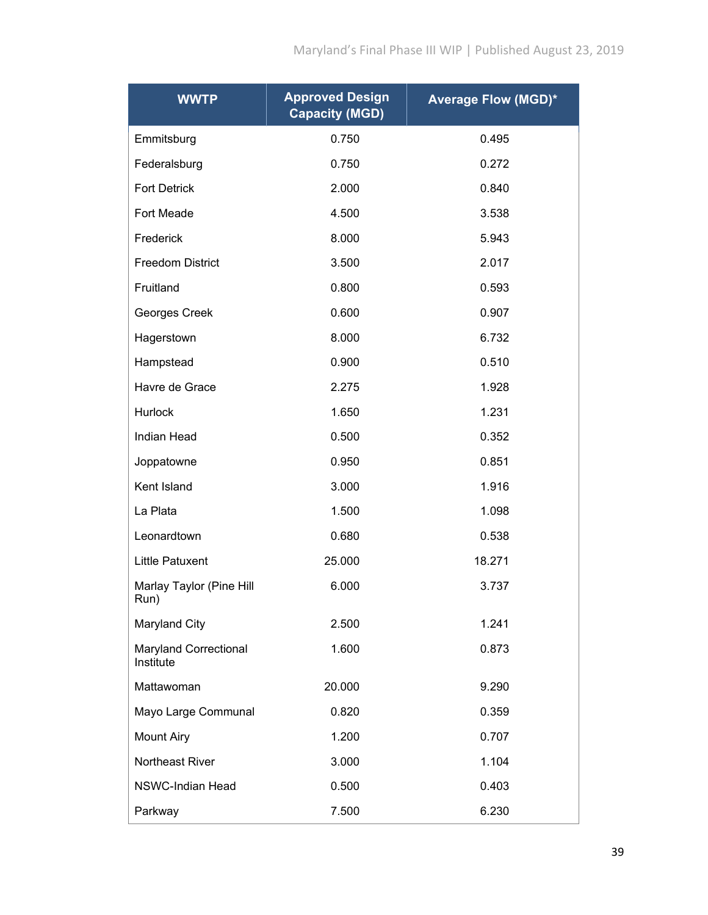| <b>WWTP</b>                               | <b>Approved Design</b><br><b>Capacity (MGD)</b> | <b>Average Flow (MGD)*</b> |
|-------------------------------------------|-------------------------------------------------|----------------------------|
| Emmitsburg                                | 0.750                                           | 0.495                      |
| Federalsburg                              | 0.750                                           | 0.272                      |
| <b>Fort Detrick</b>                       | 2.000                                           | 0.840                      |
| Fort Meade                                | 4.500                                           | 3.538                      |
| Frederick                                 | 8.000                                           | 5.943                      |
| <b>Freedom District</b>                   | 3.500                                           | 2.017                      |
| Fruitland                                 | 0.800                                           | 0.593                      |
| Georges Creek                             | 0.600                                           | 0.907                      |
| Hagerstown                                | 8.000                                           | 6.732                      |
| Hampstead                                 | 0.900                                           | 0.510                      |
| Havre de Grace                            | 2.275                                           | 1.928                      |
| <b>Hurlock</b>                            | 1.650                                           | 1.231                      |
| Indian Head                               | 0.500                                           | 0.352                      |
| Joppatowne                                | 0.950                                           | 0.851                      |
| Kent Island                               | 3.000                                           | 1.916                      |
| La Plata                                  | 1.500                                           | 1.098                      |
| Leonardtown                               | 0.680                                           | 0.538                      |
| <b>Little Patuxent</b>                    | 25.000                                          | 18.271                     |
| Marlay Taylor (Pine Hill<br>Run)          | 6.000                                           | 3.737                      |
| Maryland City                             | 2.500                                           | 1.241                      |
| <b>Maryland Correctional</b><br>Institute | 1.600                                           | 0.873                      |
| Mattawoman                                | 20.000                                          | 9.290                      |
| Mayo Large Communal                       | 0.820                                           | 0.359                      |
| <b>Mount Airy</b>                         | 1.200                                           | 0.707                      |
| Northeast River                           | 3.000                                           | 1.104                      |
| <b>NSWC-Indian Head</b>                   | 0.500                                           | 0.403                      |
| Parkway                                   | 7.500                                           | 6.230                      |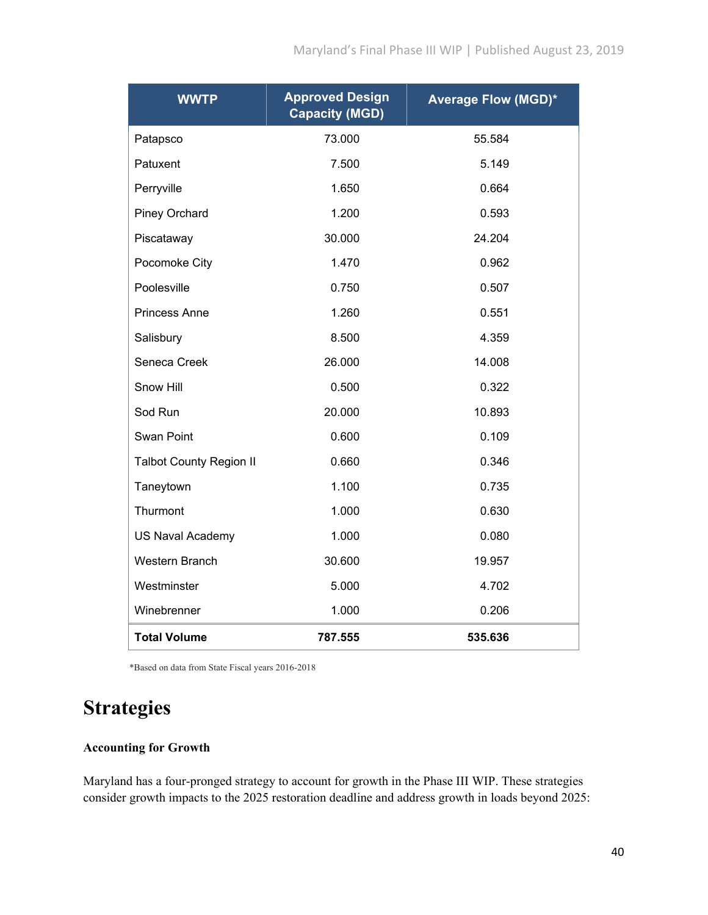| <b>WWTP</b>                    | <b>Approved Design</b><br><b>Capacity (MGD)</b> | <b>Average Flow (MGD)*</b> |
|--------------------------------|-------------------------------------------------|----------------------------|
| Patapsco                       | 73.000                                          | 55.584                     |
| Patuxent                       | 7.500                                           | 5.149                      |
| Perryville                     | 1.650                                           | 0.664                      |
| <b>Piney Orchard</b>           | 1.200                                           | 0.593                      |
| Piscataway                     | 30.000                                          | 24.204                     |
| Pocomoke City                  | 1.470                                           | 0.962                      |
| Poolesville                    | 0.750                                           | 0.507                      |
| <b>Princess Anne</b>           | 1.260                                           | 0.551                      |
| Salisbury                      | 8.500                                           | 4.359                      |
| Seneca Creek                   | 26.000                                          | 14.008                     |
| Snow Hill                      | 0.500                                           | 0.322                      |
| Sod Run                        | 20.000                                          | 10.893                     |
| Swan Point                     | 0.600                                           | 0.109                      |
| <b>Talbot County Region II</b> | 0.660                                           | 0.346                      |
| Taneytown                      | 1.100                                           | 0.735                      |
| Thurmont                       | 1.000                                           | 0.630                      |
| <b>US Naval Academy</b>        | 1.000                                           | 0.080                      |
| Western Branch                 | 30.600                                          | 19.957                     |
| Westminster                    | 5.000                                           | 4.702                      |
| Winebrenner                    | 1.000                                           | 0.206                      |
| <b>Total Volume</b>            | 787.555                                         | 535.636                    |

\*Based on data from State Fiscal years 2016-2018

### **Strategies**

### **Accounting for Growth**

Maryland has a four-pronged strategy to account for growth in the Phase III WIP. These strategies consider growth impacts to the 2025 restoration deadline and address growth in loads beyond 2025: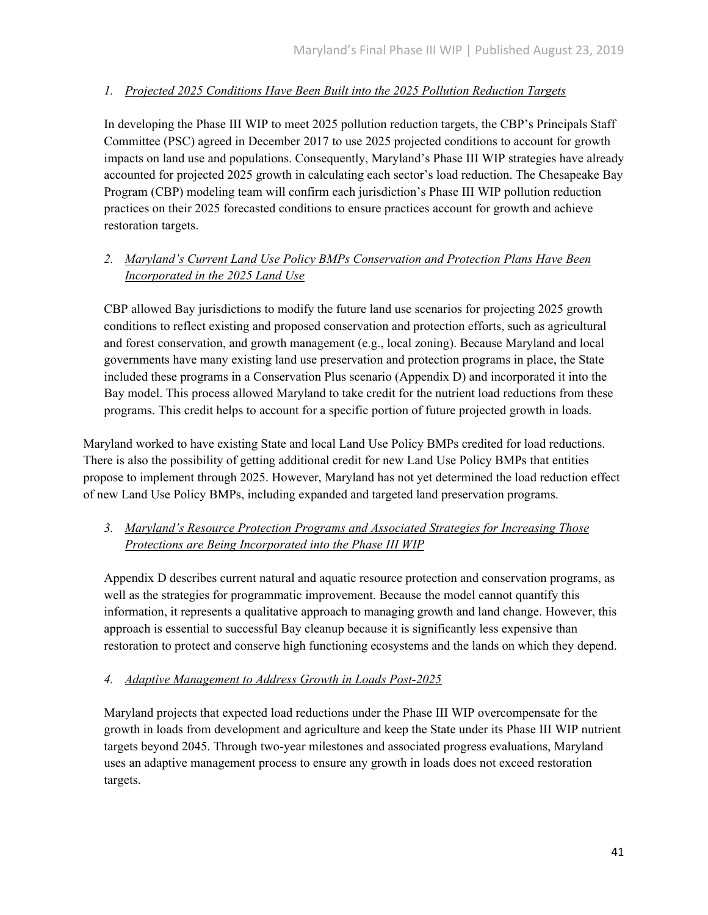### *1. Projected 2025 Conditions Have Been Built into the 2025 Pollution Reduction Targets*

In developing the Phase III WIP to meet 2025 pollution reduction targets, the CBP's Principals Staff Committee (PSC) agreed in December 2017 to use 2025 projected conditions to account for growth impacts on land use and populations. Consequently, Maryland's Phase III WIP strategies have already accounted for projected 2025 growth in calculating each sector's load reduction. The Chesapeake Bay Program (CBP) modeling team will confirm each jurisdiction's Phase III WIP pollution reduction practices on their 2025 forecasted conditions to ensure practices account for growth and achieve restoration targets.

### *2. Maryland's Current Land Use Policy BMPs Conservation and Protection Plans Have Been Incorporated in the 2025 Land Use*

CBP allowed Bay jurisdictions to modify the future land use scenarios for projecting 2025 growth conditions to reflect existing and proposed conservation and protection efforts, such as agricultural and forest conservation, and growth management (e.g., local zoning). Because Maryland and local governments have many existing land use preservation and protection programs in place, the State included these programs in a Conservation Plus scenario (Appendix D) and incorporated it into the Bay model. This process allowed Maryland to take credit for the nutrient load reductions from these programs. This credit helps to account for a specific portion of future projected growth in loads.

Maryland worked to have existing State and local Land Use Policy BMPs credited for load reductions. There is also the possibility of getting additional credit for new Land Use Policy BMPs that entities propose to implement through 2025. However, Maryland has not yet determined the load reduction effect of new Land Use Policy BMPs, including expanded and targeted land preservation programs.

### *3. Maryland's Resource Protection Programs and Associated Strategies for Increasing Those Protections are Being Incorporated into the Phase III WIP*

Appendix D describes current natural and aquatic resource protection and conservation programs, as well as the strategies for programmatic improvement. Because the model cannot quantify this information, it represents a qualitative approach to managing growth and land change. However, this approach is essential to successful Bay cleanup because it is significantly less expensive than restoration to protect and conserve high functioning ecosystems and the lands on which they depend.

### *4. Adaptive Management to Address Growth in Loads Post-2025*

Maryland projects that expected load reductions under the Phase III WIP overcompensate for the growth in loads from development and agriculture and keep the State under its Phase III WIP nutrient targets beyond 2045. Through two-year milestones and associated progress evaluations, Maryland uses an adaptive management process to ensure any growth in loads does not exceed restoration targets.